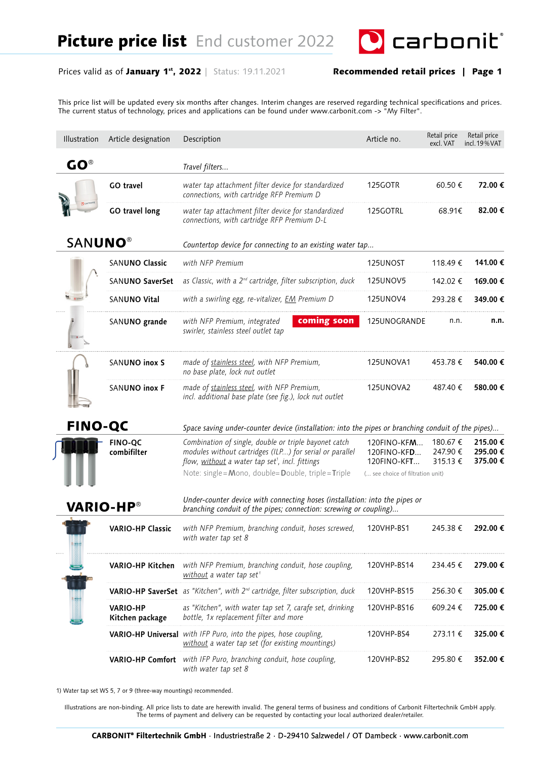This price list will be updated every six months after changes. Interim changes are reserved regarding technical specifications and prices. The current status of technology, prices and applications can be found under www.carbonit.com -> "My Filter".

| Illustration   | Article designation                | Description                                                                                                                                                                     | Article no.                               | Retail price<br>excl. VAT       | Retail price<br>incl. 19% VAT |
|----------------|------------------------------------|---------------------------------------------------------------------------------------------------------------------------------------------------------------------------------|-------------------------------------------|---------------------------------|-------------------------------|
| $GO^{\circ}$   |                                    | Travel filters                                                                                                                                                                  |                                           |                                 |                               |
|                | GO travel                          | water tap attachment filter device for standardized<br>connections, with cartridge RFP Premium D                                                                                | 125GOTR                                   | 60.50€                          | 72.00 €                       |
|                | GO travel long                     | water tap attachment filter device for standardized<br>connections, with cartridge RFP Premium D-L                                                                              | 125GOTRL                                  | 68.91€                          | 82,00 €                       |
| <b>SANUNO®</b> |                                    | Countertop device for connecting to an existing water tap                                                                                                                       |                                           |                                 |                               |
|                | <b>SANUNO Classic</b>              | with NFP Premium                                                                                                                                                                | 125UNOST                                  | 118.49€                         | 141.00 €                      |
|                | SANUNO SaverSet                    | as Classic, with a 2 <sup>nd</sup> cartridge, filter subscription, duck                                                                                                         | <b>125UNOV5</b>                           | 142.02 €                        | 169.00€                       |
|                | SAN <b>UNO Vital</b>               | with a swirling egg, re-vitalizer, <b>EM</b> Premium D                                                                                                                          | <b>125UNOV4</b>                           | 293.28€                         | 349.00€                       |
|                | SANUNO grande                      | coming soon<br>with NFP Premium, integrated<br>swirler, stainless steel outlet tap                                                                                              | 125UNOGRANDE                              | n.n.                            | n.n.                          |
|                | <b>SANUNO inox S</b>               | made of stainless steel, with NFP Premium,<br>no base plate, lock nut outlet                                                                                                    | 125UNOVA1                                 | 453.78 €                        | 540.00 €                      |
|                | <b>SANUNO inox F</b>               | made of stainless steel, with NFP Premium,<br>incl. additional base plate (see fig.), lock nut outlet                                                                           | 125UNOVA2                                 | 487.40 €                        | 580.00€                       |
| <b>FINO-QC</b> |                                    | Space saving under-counter device (installation: into the pipes or branching conduit of the pipes)                                                                              |                                           |                                 |                               |
|                | <b>FINO-QC</b><br>combifilter      | Combination of single, double or triple bayonet catch<br>modules without cartridges (ILP) for serial or parallel<br>flow, without a water tap set <sup>1</sup> , incl. fittings | 120FINO-KFM<br>120FINO-KFD<br>120FINO-KFT | 180.67 €<br>247.90€<br>315.13 € | 215.00€<br>295.00€<br>375.00€ |
|                |                                    | Note: single=Mono, double=Double, triple=Triple                                                                                                                                 | ( see choice of filtration unit)          |                                 |                               |
|                | <b>VARIO-HP®</b>                   | Under-counter device with connecting hoses (installation: into the pipes or<br>branching conduit of the pipes; connection: screwing or coupling)                                |                                           |                                 |                               |
|                | <b>VARIO-HP Classic</b>            | with NFP Premium, branching conduit, hoses screwed,<br>with water tap set 8                                                                                                     | 120VHP-BS1                                | 245.38 €                        | 292.00 €                      |
|                | VARIO-HP Kitchen                   | with NFP Premium, branching conduit, hose coupling,<br>without a water tap set <sup>1</sup>                                                                                     | 120VHP-BS14                               | 234.45 €                        | 279.00€                       |
|                |                                    | <b>VARIO-HP SaverSet</b> as "Kitchen", with 2 <sup>nd</sup> cartridge, filter subscription, duck                                                                                | 120VHP-BS15                               | 256.30€                         | 305.00€                       |
|                | <b>VARIO-HP</b><br>Kitchen package | as "Kitchen", with water tap set 7, carafe set, drinking<br>bottle, 1x replacement filter and more                                                                              | 120VHP-BS16                               | 609.24 €                        | 725.00€                       |
|                |                                    | <b>VARIO-HP Universal</b> with IFP Puro, into the pipes, hose coupling,<br>without a water tap set (for existing mountings)                                                     | 120VHP-BS4                                | 273.11 €                        | 325.00€                       |
|                |                                    | <b>VARIO-HP Comfort</b> with IFP Puro, branching conduit, hose coupling,<br>with water tap set 8                                                                                | 120VHP-BS2                                | 295.80 €                        | 352.00 €                      |

1) Water tap set WS 5, 7 or 9 (three-way mountings) recommended.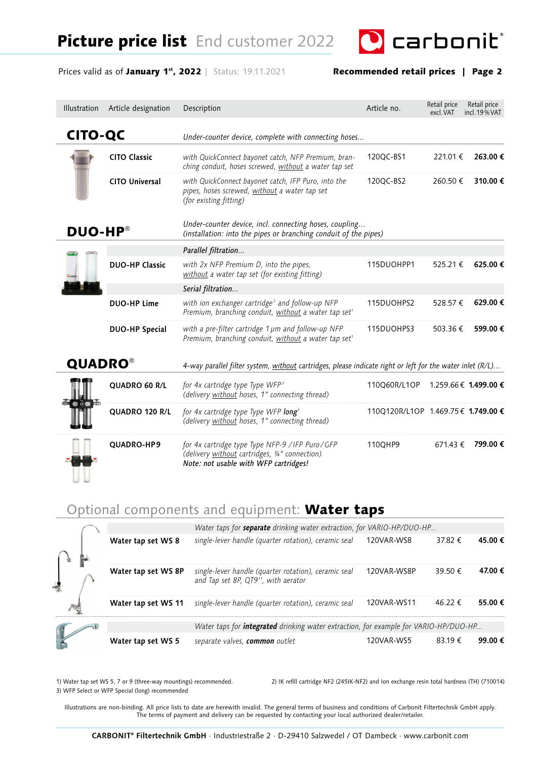**Q** carbonit

| Illustration    | Article designation   | Description                                                                                                                               | Article no.                        | Retail price<br>excl. VAT | Retail price<br>incl. 19% VAT |
|-----------------|-----------------------|-------------------------------------------------------------------------------------------------------------------------------------------|------------------------------------|---------------------------|-------------------------------|
| <b>CITO-QC</b>  |                       | Under-counter device, complete with connecting hoses                                                                                      |                                    |                           |                               |
|                 | <b>CITO Classic</b>   | with QuickConnect bayonet catch, NFP Premium, bran-<br>ching conduit, hoses screwed, without a water tap set                              | 120QC-BS1                          | 221.01 €                  | 263.00 €                      |
|                 | <b>CITO Universal</b> | with QuickConnect bayonet catch, IFP Puro, into the<br>pipes, hoses screwed, without a water tap set<br>(for existing fitting)            | 120QC-BS2                          | 260.50 €                  | 310.00€                       |
| DUO-HP®         |                       | Under-counter device, incl. connecting hoses, coupling<br>(installation: into the pipes or branching conduit of the pipes)                |                                    |                           |                               |
|                 |                       | Parallel filtration                                                                                                                       |                                    |                           |                               |
|                 | <b>DUO-HP Classic</b> | with 2x NFP Premium D, into the pipes,<br>without a water tap set (for existing fitting)                                                  | 115DUOHPP1                         | 525.21€                   | 625.00€                       |
|                 |                       | Serial filtration                                                                                                                         |                                    |                           |                               |
|                 | <b>DUO-HP Lime</b>    | with ion exchanger cartridge <sup>2</sup> and follow-up NFP<br>Premium, branching conduit, without a water tap set <sup>1</sup>           | 115DUOHPS2                         | 528.57€                   | 629.00€                       |
|                 | <b>DUO-HP Special</b> | with a pre-filter cartridge 1 µm and follow-up NFP<br>Premium, branching conduit, without a water tap set <sup>1</sup>                    | 115DUOHPS3                         | 503.36€                   | 599.00€                       |
| <b>QUADRO</b> ® |                       | 4-way parallel filter system, without cartridges, please indicate right or left for the water inlet (R/L)                                 |                                    |                           |                               |
|                 | QUADRO 60 R/L         | for 4x cartridge type Type WFP <sup>3</sup><br>(delivery without hoses, 1" connecting thread)                                             | 110Q60R/L1OP                       |                           | 1.259.66€ 1.499.00 €          |
|                 | QUADRO 120 R/L        | for 4x cartridge type Type WFP long <sup>3</sup><br>(delivery without hoses, 1" connecting thread)                                        | 110Q120R/L1OP 1.469.75€ 1.749.00 € |                           |                               |
|                 | QUADRO-HP9            | for 4x cartridge type Type NFP-9 /IFP Puro/GFP<br>(delivery without cartridges, 3/4" connection)<br>Note: not usable with WFP cartridges! | 110QHP9                            | 671.43 €                  | 799.00 €                      |

# Optional components and equipment: Water taps

|                     | Water taps for <b>separate</b> drinking water extraction, for VARIO-HP/DUO-HP                          |            |                  |         |
|---------------------|--------------------------------------------------------------------------------------------------------|------------|------------------|---------|
| Water tap set WS 8  | single-lever handle (quarter rotation), ceramic seal 120VAR-WS8                                        |            | 37.82 $\epsilon$ | 45.00€  |
| Water tap set WS 8P | single-lever handle (quarter rotation), ceramic seal 120VAR-WS8P<br>and Tap set 8P, QT9", with aerator |            | 39.50€           | 47.00€  |
|                     | Water tap set WS 11 single-lever handle (quarter rotation), ceramic seal 120VAR-WS11                   |            | 46.22 €          | 55.00 € |
|                     | Water taps for <b>integrated</b> drinking water extraction, for example for VARIO-HP/DUO-HP            |            |                  |         |
| Water tap set WS 5  | separate valves, <b>common</b> outlet                                                                  | 120VAR-WS5 | 83.19€           | 99.00 € |

3) WFP Select or WFP Special (long) recommended

1) Water tap set WS 5, 7 or 9 (three-way mountings) recommended. 2) IK refill cartridge NF2 (245IK-NF2) and Ion exchange resin total hardness (TH) (710014)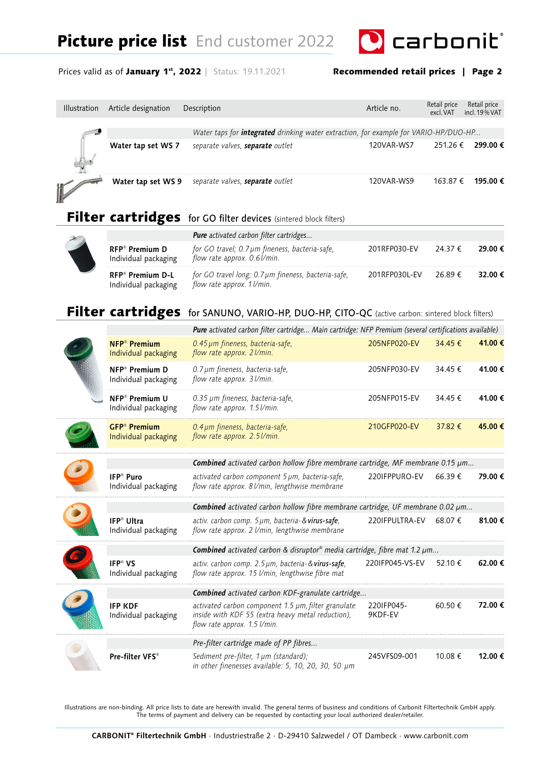arbonit®

|              | Illustration Article designation | Description                                                                                 | Article no. | Retail price | Retail price<br>excl.VAT incl.19%VAT |
|--------------|----------------------------------|---------------------------------------------------------------------------------------------|-------------|--------------|--------------------------------------|
|              |                                  | Water taps for <i>integrated</i> drinking water extraction, for example for VARIO-HP/DUO-HP |             |              |                                      |
|              | Water tap set WS 7               | separate valves, separate outlet                                                            | 120VAR-WS7  |              | 251.26 € 299.00 €                    |
| $\mathbb{R}$ |                                  | Water tap set WS 9 separate valves, separate outlet                                         | 120VAR-WS9  |              | 163.87 € 195.00 €                    |

## Filter cartridges for GO filter devices (sintered block filters)

|                                                            | <b>Pure</b> activated carbon filter cartridges                                    |               |         |         |
|------------------------------------------------------------|-----------------------------------------------------------------------------------|---------------|---------|---------|
| <b>RFP<sup>®</sup></b> Premium D<br>Individual packaging   | for GO travel; 0.7 µm fineness, bacteria-safe,<br>flow rate approx. 0.6l/min.     | 201RFP030-EV  | 24.37 € | 29.00 € |
| <b>RFP<sup>®</sup></b> Premium D-L<br>Individual packaging | for GO travel long; 0.7 µm fineness, bacteria-safe,<br>flow rate approx. 1 l/min. | 201RFP030L-EV | 26.89€  | 32.00 € |

#### Filter cartridges for SANUNO, VARIO-HP, DUO-HP, CITO-QC (active carbon: sintered block filters)

|  |                                                          | <b>Pure</b> activated carbon filter cartridge Main cartridge: NFP Premium (several certifications available)                               |                       |         |         |
|--|----------------------------------------------------------|--------------------------------------------------------------------------------------------------------------------------------------------|-----------------------|---------|---------|
|  | <b>NFP<sup>®</sup></b> Premium<br>Individual packaging   | 0.45 µm fineness, bacteria-safe,<br>flow rate approx. 2 l/min.                                                                             | 205NFP020-EV          | 34.45 € | 41.00€  |
|  | NFP <sup>®</sup> Premium D<br>Individual packaging       | 0.7 µm fineness, bacteria-safe,<br>flow rate approx. 3 l/min.                                                                              | 205NFP030-EV          | 34.45 € | 41.00 € |
|  | <b>NFP<sup>®</sup></b> Premium U<br>Individual packaging | 0.35 µm fineness, bacteria-safe,<br>flow rate approx. 1.5 l/min.                                                                           | 205NFP015-EV          | 34.45 € | 41.00 € |
|  | <b>GFP<sup>®</sup></b> Premium<br>Individual packaging   | 0.4 µm fineness, bacteria-safe,<br>flow rate approx. 2.5 l/min.                                                                            | 210GFP020-EV          | 37.82 € | 45,00 € |
|  |                                                          | Combined activated carbon hollow fibre membrane cartridge, MF membrane 0.15 µm                                                             |                       |         |         |
|  | IFP <sup>®</sup> Puro<br>Individual packaging            | activated carbon component 5 µm, bacteria-safe,<br>flow rate approx. 8l/min, lengthwise membrane                                           | 220IFPPURO-EV         | 66.39€  | 79.00 € |
|  |                                                          | Combined activated carbon hollow fibre membrane cartridge, UF membrane 0.02 $\mu$ m                                                        |                       |         |         |
|  |                                                          | activ. carbon comp. 5 µm, bacteria- & virus-safe,                                                                                          | 220IFPULTRA-EV        | 68.07€  | 81.00 € |
|  | IFP <sup>®</sup> Ultra<br>Individual packaging           | flow rate approx. 2 l/min, lengthwise membrane                                                                                             |                       |         |         |
|  |                                                          | <b>Combined</b> activated carbon & disruptor <sup>®</sup> media cartridge, fibre mat 1.2 $\mu$ m                                           |                       |         |         |
|  | <b>IFP®</b> VS<br>Individual packaging                   | activ. carbon comp. 2.5 µm, bacteria-& virus-safe,<br>flow rate approx. 15 l/min, lengthwise fibre mat                                     | 2201FP045-VS-EV       | 52.10 € | 62.00€  |
|  |                                                          | Combined activated carbon KDF-granulate cartridge                                                                                          |                       |         |         |
|  | <b>IFP KDF</b><br>Individual packaging                   | activated carbon component 1.5 µm, filter granulate<br>inside with KDF 55 (extra heavy metal reduction),<br>flow rate approx. $1.5$ l/min. | 220IFP045-<br>9KDF-EV | 60.50€  | 72.00 € |
|  |                                                          | Pre-filter cartridge made of PP fibres                                                                                                     |                       |         |         |